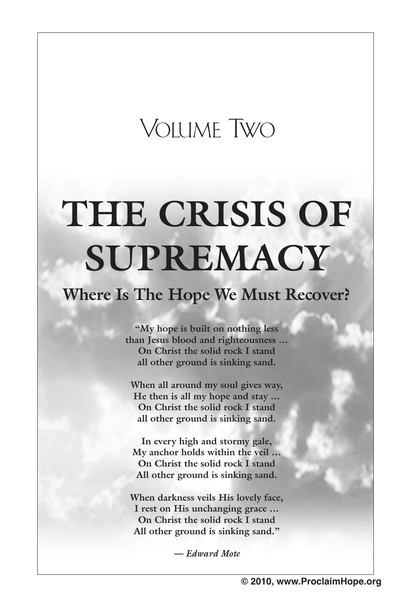## Volume Two

# **THE CRISIS OF SUPREMACY**

## **Where Is The Hope We Must Recover?**

**"My hope is built on nothing less than Jesus blood and righteousness … On Christ the solid rock I stand all other ground is sinking sand.**

**When all around my soul gives way, He then is all my hope and stay … On Christ the solid rock I stand all other ground is sinking sand.**

**In every high and stormy gale, My anchor holds within the veil … On Christ the solid rock I stand All other ground is sinking sand.**

**When darkness veils His lovely face, I rest on His unchanging grace … On Christ the solid rock I stand All other ground is sinking sand."**

*— Edward Mote*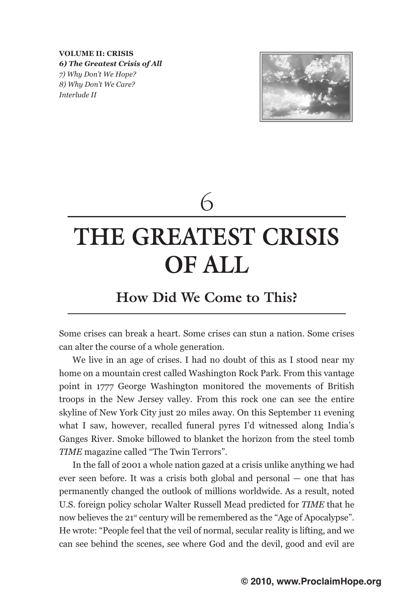**VOLUME II: CRISIS** *6) The Greatest Crisis of All 7) Why Don't We Hope? 8) Why Don't We Care? Interlude II*



## 6 **THE GREATEST CRISIS OF ALL**

## **How Did We Come to This?**

Some crises can break a heart. Some crises can stun a nation. Some crises can alter the course of a whole generation.

We live in an age of crises. I had no doubt of this as I stood near my home on a mountain crest called Washington Rock Park. From this vantage point in 1777 George Washington monitored the movements of British troops in the New Jersey valley. From this rock one can see the entire skyline of New York City just 20 miles away. On this September 11 evening what I saw, however, recalled funeral pyres I'd witnessed along India's Ganges River. Smoke billowed to blanket the horizon from the steel tomb *TIME* magazine called "The Twin Terrors".

In the fall of 2001 a whole nation gazed at a crisis unlike anything we had ever seen before. It was a crisis both global and personal — one that has permanently changed the outlook of millions worldwide. As a result, noted U.S. foreign policy scholar Walter Russell Mead predicted for *TIME* that he now believes the 21<sup>st</sup> century will be remembered as the "Age of Apocalypse". He wrote: "People feel that the veil of normal, secular reality is lifting, and we can see behind the scenes, see where God and the devil, good and evil are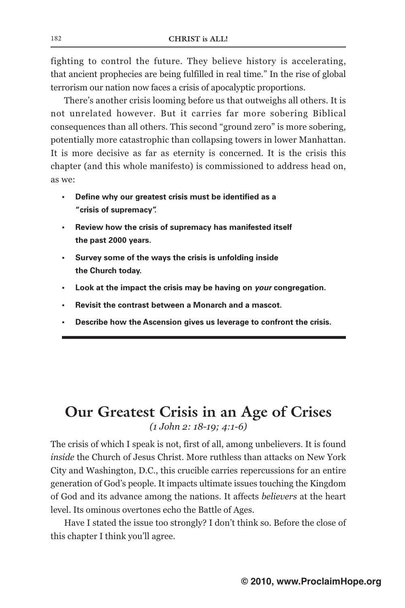fighting to control the future. They believe history is accelerating, that ancient prophecies are being fulfilled in real time." In the rise of global terrorism our nation now faces a crisis of apocalyptic proportions.

There's another crisis looming before us that outweighs all others. It is not unrelated however. But it carries far more sobering Biblical consequences than all others. This second "ground zero" is more sobering, potentially more catastrophic than collapsing towers in lower Manhattan. It is more decisive as far as eternity is concerned. It is the crisis this chapter (and this whole manifesto) is commissioned to address head on, as we:

- **• Define why our greatest crisis must be identified as a "crisis of supremacy".**
- **• Review how the crisis of supremacy has manifested itself the past 2000 years.**
- **• Survey some of the ways the crisis is unfolding inside the Church today.**
- **• Look at the impact the crisis may be having on** *your* **congregation.**
- **• Revisit the contrast between a Monarch and a mascot.**
- **• Describe how the Ascension gives us leverage to confront the crisis.**

## **Our Greatest Crisis in an Age of Crises** *(1 John 2: 18-19; 4:1-6)*

The crisis of which I speak is not, first of all, among unbelievers. It is found *inside* the Church of Jesus Christ. More ruthless than attacks on New York City and Washington, D.C., this crucible carries repercussions for an entire generation of God's people. It impacts ultimate issues touching the Kingdom of God and its advance among the nations. It affects *believers* at the heart level. Its ominous overtones echo the Battle of Ages.

Have I stated the issue too strongly? I don't think so. Before the close of this chapter I think you'll agree.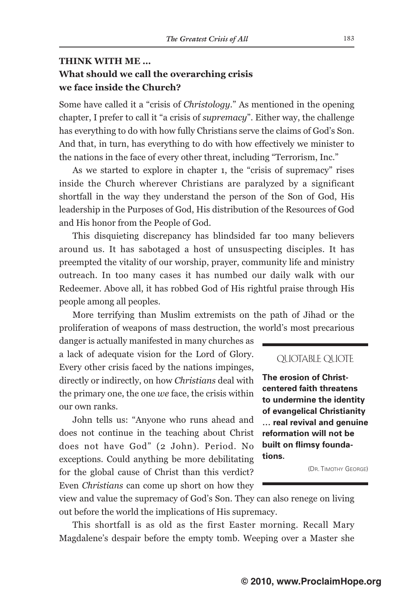## **THINK WITH ME … What should we call the overarching crisis we face inside the Church?**

Some have called it a "crisis of *Christology*." As mentioned in the opening chapter, I prefer to call it "a crisis of *supremacy*". Either way, the challenge has everything to do with how fully Christians serve the claims of God's Son. And that, in turn, has everything to do with how effectively we minister to the nations in the face of every other threat, including "Terrorism, Inc."

As we started to explore in chapter 1, the "crisis of supremacy" rises inside the Church wherever Christians are paralyzed by a significant shortfall in the way they understand the person of the Son of God, His leadership in the Purposes of God, His distribution of the Resources of God and His honor from the People of God.

This disquieting discrepancy has blindsided far too many believers around us. It has sabotaged a host of unsuspecting disciples. It has preempted the vitality of our worship, prayer, community life and ministry outreach. In too many cases it has numbed our daily walk with our Redeemer. Above all, it has robbed God of His rightful praise through His people among all peoples.

More terrifying than Muslim extremists on the path of Jihad or the proliferation of weapons of mass destruction, the world's most precarious

danger is actually manifested in many churches as a lack of adequate vision for the Lord of Glory. Every other crisis faced by the nations impinges, directly or indirectly, on how *Christians* deal with the primary one, the one *we* face, the crisis within our own ranks.

John tells us: "Anyone who runs ahead and does not continue in the teaching about Christ does not have God" (2 John). Period. No exceptions. Could anything be more debilitating for the global cause of Christ than this verdict? Even *Christians* can come up short on how they

## QUOTABLE QUOTE

**The erosion of Christcentered faith threatens to undermine the identity of evangelical Christianity … real revival and genuine reformation will not be built on flimsy foundations.**

(DR. TIMOTHY GEORGE)

view and value the supremacy of God's Son. They can also renege on living out before the world the implications of His supremacy.

This shortfall is as old as the first Easter morning. Recall Mary Magdalene's despair before the empty tomb. Weeping over a Master she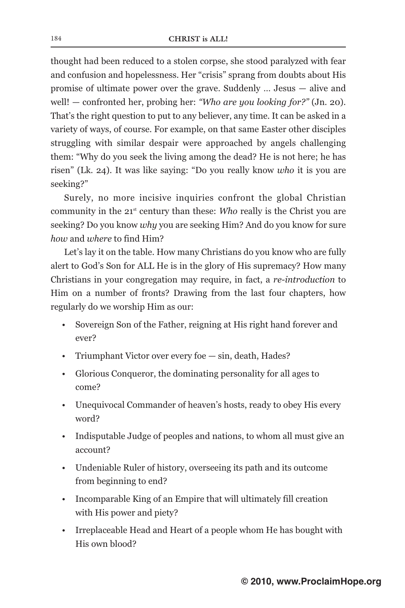thought had been reduced to a stolen corpse, she stood paralyzed with fear and confusion and hopelessness. Her "crisis" sprang from doubts about His promise of ultimate power over the grave. Suddenly … Jesus — alive and well! — confronted her, probing her: *"Who are you looking for?"* (Jn. 20). That's the right question to put to any believer, any time. It can be asked in a variety of ways, of course. For example, on that same Easter other disciples struggling with similar despair were approached by angels challenging them: "Why do you seek the living among the dead? He is not here; he has risen" (Lk. 24). It was like saying: "Do you really know *who* it is you are seeking?"

Surely, no more incisive inquiries confront the global Christian community in the 21<sup>st</sup> century than these: *Who* really is the Christ you are seeking? Do you know *why* you are seeking Him? And do you know for sure *how* and *where* to find Him?

Let's lay it on the table. How many Christians do you know who are fully alert to God's Son for ALL He is in the glory of His supremacy? How many Christians in your congregation may require, in fact, a *re-introduction* to Him on a number of fronts? Drawing from the last four chapters, how regularly do we worship Him as our:

- Sovereign Son of the Father, reigning at His right hand forever and ever?
- Triumphant Victor over every foe sin, death, Hades?
- Glorious Conqueror, the dominating personality for all ages to come?
- Unequivocal Commander of heaven's hosts, ready to obey His every word?
- Indisputable Judge of peoples and nations, to whom all must give an account?
- Undeniable Ruler of history, overseeing its path and its outcome from beginning to end?
- Incomparable King of an Empire that will ultimately fill creation with His power and piety?
- Irreplaceable Head and Heart of a people whom He has bought with His own blood?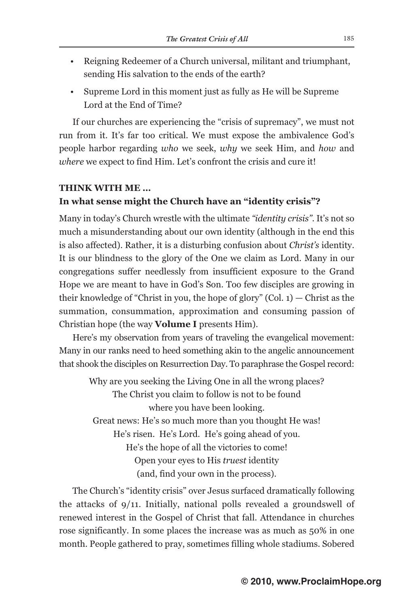- Reigning Redeemer of a Church universal, militant and triumphant, sending His salvation to the ends of the earth?
- Supreme Lord in this moment just as fully as He will be Supreme Lord at the End of Time?

If our churches are experiencing the "crisis of supremacy", we must not run from it. It's far too critical. We must expose the ambivalence God's people harbor regarding *who* we seek, *why* we seek Him, and *how* and *where* we expect to find Him. Let's confront the crisis and cure it!

## **THINK WITH ME … In what sense might the Church have an "identity crisis"?**

Many in today's Church wrestle with the ultimate *"identity crisis"*. It's not so much a misunderstanding about our own identity (although in the end this is also affected). Rather, it is a disturbing confusion about *Christ's* identity. It is our blindness to the glory of the One we claim as Lord. Many in our congregations suffer needlessly from insufficient exposure to the Grand Hope we are meant to have in God's Son. Too few disciples are growing in their knowledge of "Christ in you, the hope of glory" (Col.  $1$ )  $-$  Christ as the summation, consummation, approximation and consuming passion of Christian hope (the way **Volume I** presents Him).

Here's my observation from years of traveling the evangelical movement: Many in our ranks need to heed something akin to the angelic announcement that shook the disciples on Resurrection Day. To paraphrase the Gospel record:

Why are you seeking the Living One in all the wrong places? The Christ you claim to follow is not to be found where you have been looking. Great news: He's so much more than you thought He was! He's risen. He's Lord. He's going ahead of you. He's the hope of all the victories to come! Open your eyes to His *truest* identity (and, find your own in the process).

The Church's "identity crisis" over Jesus surfaced dramatically following the attacks of 9/11. Initially, national polls revealed a groundswell of renewed interest in the Gospel of Christ that fall. Attendance in churches rose significantly. In some places the increase was as much as 50% in one month. People gathered to pray, sometimes filling whole stadiums. Sobered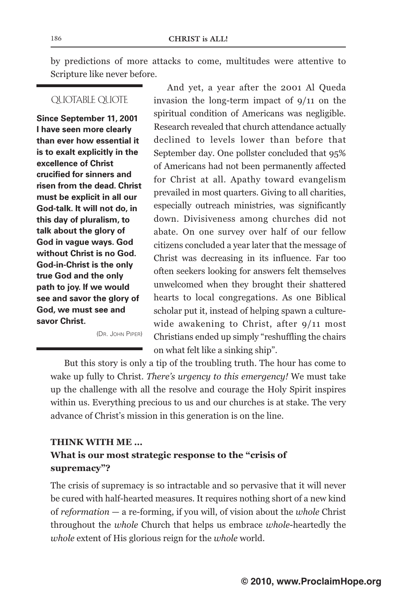by predictions of more attacks to come, multitudes were attentive to Scripture like never before.

#### QUOTABLE QUOTE

**Since September 11, 2001 I have seen more clearly than ever how essential it is to exalt explicitly in the excellence of Christ crucified for sinners and risen from the dead. Christ must be explicit in all our God-talk. It will not do, in this day of pluralism, to talk about the glory of God in vague ways. God without Christ is no God. God-in-Christ is the only true God and the only path to joy. If we would see and savor the glory of God, we must see and savor Christ.**

And yet, a year after the 2001 Al Queda invasion the long-term impact of 9/11 on the spiritual condition of Americans was negligible. Research revealed that church attendance actually declined to levels lower than before that September day. One pollster concluded that 95% of Americans had not been permanently affected for Christ at all. Apathy toward evangelism prevailed in most quarters. Giving to all charities, especially outreach ministries, was significantly down. Divisiveness among churches did not abate. On one survey over half of our fellow citizens concluded a year later that the message of Christ was decreasing in its influence. Far too often seekers looking for answers felt themselves unwelcomed when they brought their shattered hearts to local congregations. As one Biblical scholar put it, instead of helping spawn a culturewide awakening to Christ, after 9/11 most Christians ended up simply "reshuffling the chairs on what felt like a sinking ship".

(DR. JOHN PIPER)

But this story is only a tip of the troubling truth. The hour has come to wake up fully to Christ. *There's urgency to this emergency!* We must take up the challenge with all the resolve and courage the Holy Spirit inspires within us. Everything precious to us and our churches is at stake. The very advance of Christ's mission in this generation is on the line.

## **THINK WITH ME … What is our most strategic response to the "crisis of supremacy"?**

The crisis of supremacy is so intractable and so pervasive that it will never be cured with half-hearted measures. It requires nothing short of a new kind of *reformation* — a re-forming, if you will, of vision about the *whole* Christ throughout the *whole* Church that helps us embrace *whole*-heartedly the *whole* extent of His glorious reign for the *whole* world.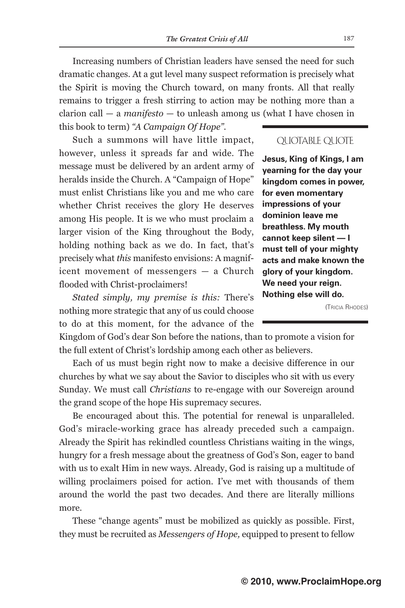Increasing numbers of Christian leaders have sensed the need for such dramatic changes. At a gut level many suspect reformation is precisely what the Spirit is moving the Church toward, on many fronts. All that really remains to trigger a fresh stirring to action may be nothing more than a clarion call — a *manifesto* — to unleash among us (what I have chosen in this book to term) *"A Campaign Of Hope".*

Such a summons will have little impact, however, unless it spreads far and wide. The message must be delivered by an ardent army of heralds inside the Church. A "Campaign of Hope" must enlist Christians like you and me who care whether Christ receives the glory He deserves among His people. It is we who must proclaim a larger vision of the King throughout the Body, holding nothing back as we do. In fact, that's precisely what *this* manifesto envisions: A magnificent movement of messengers — a Church flooded with Christ-proclaimers!

*Stated simply, my premise is this:* There's nothing more strategic that any of us could choose to do at this moment, for the advance of the

Kingdom of God's dear Son before the nations, than to promote a vision for the full extent of Christ's lordship among each other as believers.

Each of us must begin right now to make a decisive difference in our churches by what we say about the Savior to disciples who sit with us every Sunday. We must call *Christians* to re-engage with our Sovereign around the grand scope of the hope His supremacy secures.

Be encouraged about this. The potential for renewal is unparalleled. God's miracle-working grace has already preceded such a campaign. Already the Spirit has rekindled countless Christians waiting in the wings, hungry for a fresh message about the greatness of God's Son, eager to band with us to exalt Him in new ways. Already, God is raising up a multitude of willing proclaimers poised for action. I've met with thousands of them around the world the past two decades. And there are literally millions more.

These "change agents" must be mobilized as quickly as possible. First, they must be recruited as *Messengers of Hope,* equipped to present to fellow

QUOTABLE QUOTE

**Jesus, King of Kings, I am yearning for the day your kingdom comes in power, for even momentary impressions of your dominion leave me breathless. My mouth cannot keep silent — I must tell of your mighty acts and make known the glory of your kingdom. We need your reign. Nothing else will do.**

(TRICIA RHODES)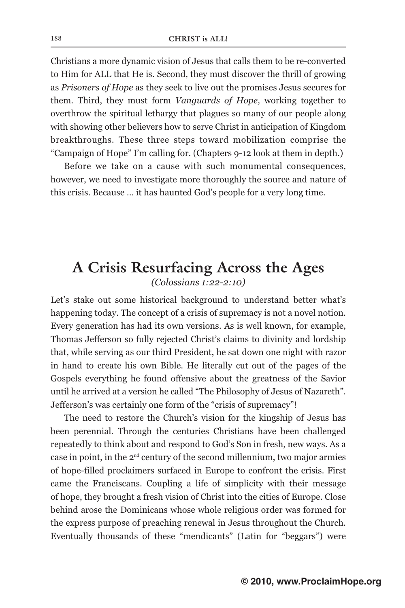Christians a more dynamic vision of Jesus that calls them to be re-converted to Him for ALL that He is. Second, they must discover the thrill of growing as *Prisoners of Hope* as they seek to live out the promises Jesus secures for them. Third, they must form *Vanguards of Hope,* working together to overthrow the spiritual lethargy that plagues so many of our people along with showing other believers how to serve Christ in anticipation of Kingdom breakthroughs. These three steps toward mobilization comprise the "Campaign of Hope" I'm calling for. (Chapters 9-12 look at them in depth.)

Before we take on a cause with such monumental consequences, however, we need to investigate more thoroughly the source and nature of this crisis. Because … it has haunted God's people for a very long time.

## **A Crisis Resurfacing Across the Ages** *(Colossians 1:22-2:10)*

Let's stake out some historical background to understand better what's happening today. The concept of a crisis of supremacy is not a novel notion. Every generation has had its own versions. As is well known, for example, Thomas Jefferson so fully rejected Christ's claims to divinity and lordship that, while serving as our third President, he sat down one night with razor in hand to create his own Bible. He literally cut out of the pages of the Gospels everything he found offensive about the greatness of the Savior until he arrived at a version he called "The Philosophy of Jesus of Nazareth". Jefferson's was certainly one form of the "crisis of supremacy"!

The need to restore the Church's vision for the kingship of Jesus has been perennial. Through the centuries Christians have been challenged repeatedly to think about and respond to God's Son in fresh, new ways. As a case in point, in the  $2<sup>nd</sup>$  century of the second millennium, two major armies of hope-filled proclaimers surfaced in Europe to confront the crisis. First came the Franciscans. Coupling a life of simplicity with their message of hope, they brought a fresh vision of Christ into the cities of Europe. Close behind arose the Dominicans whose whole religious order was formed for the express purpose of preaching renewal in Jesus throughout the Church. Eventually thousands of these "mendicants" (Latin for "beggars") were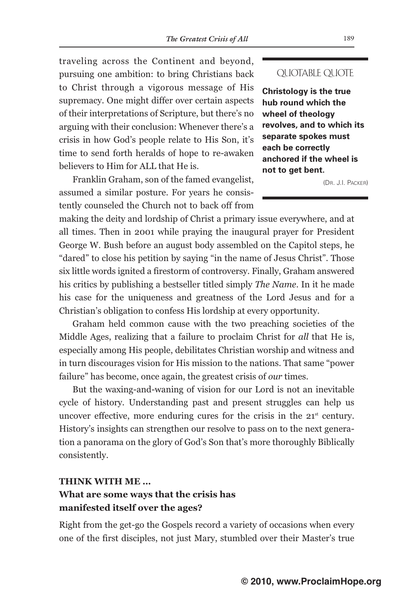traveling across the Continent and beyond, pursuing one ambition: to bring Christians back to Christ through a vigorous message of His supremacy. One might differ over certain aspects of their interpretations of Scripture, but there's no arguing with their conclusion: Whenever there's a crisis in how God's people relate to His Son, it's time to send forth heralds of hope to re-awaken believers to Him for ALL that He is.

Franklin Graham, son of the famed evangelist, assumed a similar posture. For years he consistently counseled the Church not to back off from

## making the deity and lordship of Christ a primary issue everywhere, and at all times. Then in 2001 while praying the inaugural prayer for President George W. Bush before an august body assembled on the Capitol steps, he "dared" to close his petition by saying "in the name of Jesus Christ". Those six little words ignited a firestorm of controversy. Finally, Graham answered his critics by publishing a bestseller titled simply *The Name*. In it he made his case for the uniqueness and greatness of the Lord Jesus and for a Christian's obligation to confess His lordship at every opportunity.

Graham held common cause with the two preaching societies of the Middle Ages, realizing that a failure to proclaim Christ for *all* that He is, especially among His people, debilitates Christian worship and witness and in turn discourages vision for His mission to the nations. That same "power failure" has become, once again, the greatest crisis of *our* times.

But the waxing-and-waning of vision for our Lord is not an inevitable cycle of history. Understanding past and present struggles can help us uncover effective, more enduring cures for the crisis in the  $21<sup>st</sup>$  century. History's insights can strengthen our resolve to pass on to the next generation a panorama on the glory of God's Son that's more thoroughly Biblically consistently.

## **THINK WITH ME …**

## **What are some ways that the crisis has manifested itself over the ages?**

Right from the get-go the Gospels record a variety of occasions when every one of the first disciples, not just Mary, stumbled over their Master's true

#### QUOTABLE QUOTE

**Christology is the true hub round which the wheel of theology revolves, and to which its separate spokes must each be correctly anchored if the wheel is not to get bent.**

(DR. J.I. PACKER)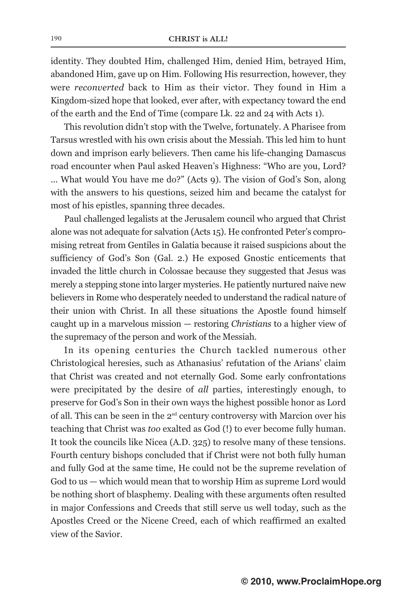identity. They doubted Him, challenged Him, denied Him, betrayed Him, abandoned Him, gave up on Him. Following His resurrection, however, they were *reconverted* back to Him as their victor. They found in Him a Kingdom-sized hope that looked, ever after, with expectancy toward the end of the earth and the End of Time (compare Lk. 22 and 24 with Acts 1).

This revolution didn't stop with the Twelve, fortunately. A Pharisee from Tarsus wrestled with his own crisis about the Messiah. This led him to hunt down and imprison early believers. Then came his life-changing Damascus road encounter when Paul asked Heaven's Highness: "Who are you, Lord? ... What would You have me do?" (Acts 9). The vision of God's Son, along with the answers to his questions, seized him and became the catalyst for most of his epistles, spanning three decades.

Paul challenged legalists at the Jerusalem council who argued that Christ alone was not adequate for salvation (Acts 15). He confronted Peter's compromising retreat from Gentiles in Galatia because it raised suspicions about the sufficiency of God's Son (Gal. 2.) He exposed Gnostic enticements that invaded the little church in Colossae because they suggested that Jesus was merely a stepping stone into larger mysteries. He patiently nurtured naive new believers in Rome who desperately needed to understand the radical nature of their union with Christ. In all these situations the Apostle found himself caught up in a marvelous mission — restoring *Christians* to a higher view of the supremacy of the person and work of the Messiah.

In its opening centuries the Church tackled numerous other Christological heresies, such as Athanasius' refutation of the Arians' claim that Christ was created and not eternally God. Some early confrontations were precipitated by the desire of *all* parties, interestingly enough, to preserve for God's Son in their own ways the highest possible honor as Lord of all. This can be seen in the  $2<sup>nd</sup>$  century controversy with Marcion over his teaching that Christ was *too* exalted as God (!) to ever become fully human. It took the councils like Nicea (A.D. 325) to resolve many of these tensions. Fourth century bishops concluded that if Christ were not both fully human and fully God at the same time, He could not be the supreme revelation of God to us — which would mean that to worship Him as supreme Lord would be nothing short of blasphemy. Dealing with these arguments often resulted in major Confessions and Creeds that still serve us well today, such as the Apostles Creed or the Nicene Creed, each of which reaffirmed an exalted view of the Savior.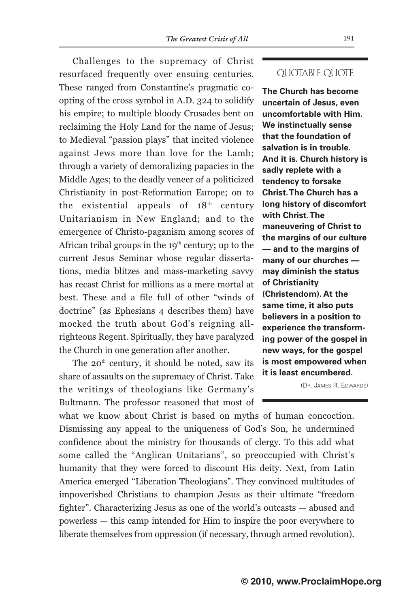Challenges to the supremacy of Christ resurfaced frequently over ensuing centuries. These ranged from Constantine's pragmatic coopting of the cross symbol in A.D. 324 to solidify his empire; to multiple bloody Crusades bent on reclaiming the Holy Land for the name of Jesus; to Medieval "passion plays" that incited violence against Jews more than love for the Lamb; through a variety of demoralizing papacies in the Middle Ages; to the deadly veneer of a politicized Christianity in post-Reformation Europe; on to the existential appeals of  $18<sup>th</sup>$  century Unitarianism in New England; and to the emergence of Christo-paganism among scores of African tribal groups in the  $19<sup>th</sup>$  century; up to the current Jesus Seminar whose regular dissertations, media blitzes and mass-marketing savvy has recast Christ for millions as a mere mortal at best. These and a file full of other "winds of doctrine" (as Ephesians 4 describes them) have mocked the truth about God's reigning allrighteous Regent. Spiritually, they have paralyzed the Church in one generation after another.

The  $20<sup>th</sup>$  century, it should be noted, saw its share of assaults on the supremacy of Christ. Take the writings of theologians like Germany's Bultmann. The professor reasoned that most of

## QUOTABLE QUOTE

**The Church has become uncertain of Jesus, even uncomfortable with Him. We instinctually sense that the foundation of salvation is in trouble. And it is. Church history is sadly replete with a tendency to forsake Christ.The Church has a long history of discomfort with Christ.The maneuvering of Christ to the margins of our culture — and to the margins of many of our churches may diminish the status of Christianity (Christendom). At the same time, it also puts believers in a position to experience the transforming power of the gospel in new ways, for the gospel is most empowered when it is least encumbered.**

(DR. JAMES R. EDWARDS)

what we know about Christ is based on myths of human concoction. Dismissing any appeal to the uniqueness of God's Son, he undermined confidence about the ministry for thousands of clergy. To this add what some called the "Anglican Unitarians", so preoccupied with Christ's humanity that they were forced to discount His deity. Next, from Latin America emerged "Liberation Theologians". They convinced multitudes of impoverished Christians to champion Jesus as their ultimate "freedom fighter". Characterizing Jesus as one of the world's outcasts — abused and powerless — this camp intended for Him to inspire the poor everywhere to liberate themselves from oppression (if necessary, through armed revolution).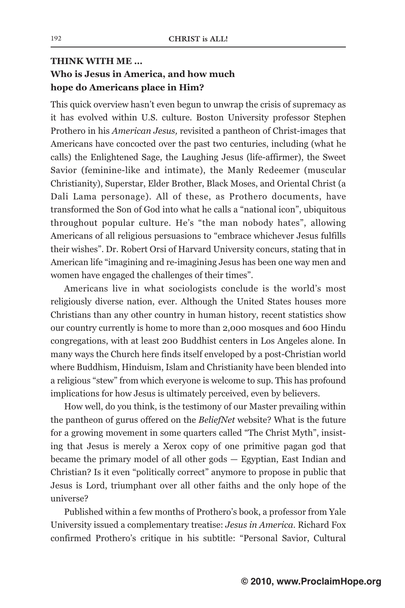## **THINK WITH ME …**

## **Who is Jesus in America, and how much hope do Americans place in Him?**

This quick overview hasn't even begun to unwrap the crisis of supremacy as it has evolved within U.S. culture. Boston University professor Stephen Prothero in his *American Jesus,* revisited a pantheon of Christ-images that Americans have concocted over the past two centuries, including (what he calls) the Enlightened Sage, the Laughing Jesus (life-affirmer), the Sweet Savior (feminine-like and intimate), the Manly Redeemer (muscular Christianity), Superstar, Elder Brother, Black Moses, and Oriental Christ (a Dali Lama personage). All of these, as Prothero documents, have transformed the Son of God into what he calls a "national icon", ubiquitous throughout popular culture. He's "the man nobody hates", allowing Americans of all religious persuasions to "embrace whichever Jesus fulfills their wishes". Dr. Robert Orsi of Harvard University concurs, stating that in American life "imagining and re-imagining Jesus has been one way men and women have engaged the challenges of their times".

Americans live in what sociologists conclude is the world's most religiously diverse nation, ever. Although the United States houses more Christians than any other country in human history, recent statistics show our country currently is home to more than 2,000 mosques and 600 Hindu congregations, with at least 200 Buddhist centers in Los Angeles alone. In many ways the Church here finds itself enveloped by a post-Christian world where Buddhism, Hinduism, Islam and Christianity have been blended into a religious "stew" from which everyone is welcome to sup. This has profound implications for how Jesus is ultimately perceived, even by believers.

How well, do you think, is the testimony of our Master prevailing within the pantheon of gurus offered on the *BeliefNet* website? What is the future for a growing movement in some quarters called "The Christ Myth", insisting that Jesus is merely a Xerox copy of one primitive pagan god that became the primary model of all other gods — Egyptian, East Indian and Christian? Is it even "politically correct" anymore to propose in public that Jesus is Lord, triumphant over all other faiths and the only hope of the universe?

Published within a few months of Prothero's book, a professor from Yale University issued a complementary treatise: *Jesus in America.* Richard Fox confirmed Prothero's critique in his subtitle: "Personal Savior, Cultural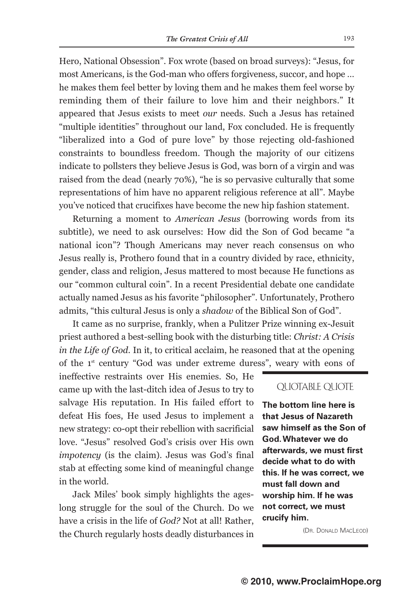Hero, National Obsession". Fox wrote (based on broad surveys): "Jesus, for most Americans, is the God-man who offers forgiveness, succor, and hope … he makes them feel better by loving them and he makes them feel worse by reminding them of their failure to love him and their neighbors." It appeared that Jesus exists to meet *our* needs. Such a Jesus has retained "multiple identities" throughout our land, Fox concluded. He is frequently "liberalized into a God of pure love" by those rejecting old-fashioned constraints to boundless freedom. Though the majority of our citizens indicate to pollsters they believe Jesus is God, was born of a virgin and was raised from the dead (nearly 70%), "he is so pervasive culturally that some representations of him have no apparent religious reference at all". Maybe you've noticed that crucifixes have become the new hip fashion statement.

Returning a moment to *American Jesus* (borrowing words from its subtitle), we need to ask ourselves: How did the Son of God became "a national icon"? Though Americans may never reach consensus on who Jesus really is, Prothero found that in a country divided by race, ethnicity, gender, class and religion, Jesus mattered to most because He functions as our "common cultural coin". In a recent Presidential debate one candidate actually named Jesus as his favorite "philosopher". Unfortunately, Prothero admits, "this cultural Jesus is only a *shadow* of the Biblical Son of God".

It came as no surprise, frankly, when a Pulitzer Prize winning ex-Jesuit priest authored a best-selling book with the disturbing title: *Christ: A Crisis in the Life of God.* In it, to critical acclaim, he reasoned that at the opening of the 1st century "God was under extreme duress", weary with eons of

ineffective restraints over His enemies. So, He came up with the last-ditch idea of Jesus to try to salvage His reputation. In His failed effort to defeat His foes, He used Jesus to implement a new strategy: co-opt their rebellion with sacrificial love. "Jesus" resolved God's crisis over His own *impotency* (is the claim). Jesus was God's final stab at effecting some kind of meaningful change in the world.

Jack Miles' book simply highlights the ageslong struggle for the soul of the Church. Do we have a crisis in the life of *God?* Not at all! Rather, the Church regularly hosts deadly disturbances in

#### QUOTABLE QUOTE

**The bottom line here is that Jesus of Nazareth saw himself as the Son of God.Whatever we do afterwards, we must first decide what to do with this. If he was correct, we must fall down and worship him. If he was not correct, we must crucify him.**

(DR. DONALD MACLEOD)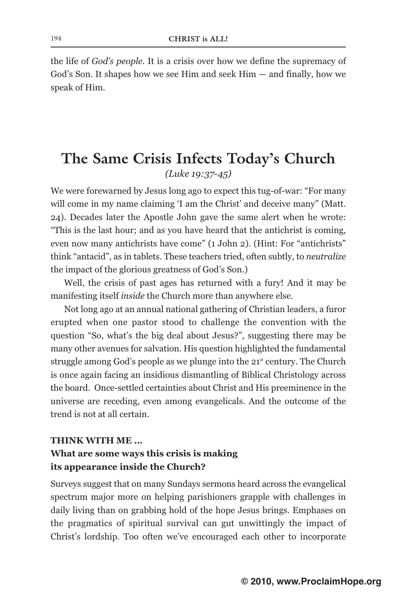the life of *God's people*. It is a crisis over how we define the supremacy of God's Son. It shapes how we see Him and seek Him — and finally, how we speak of Him.

## **The Same Crisis Infects Today's Church** *(Luke 19:37-45)*

We were forewarned by Jesus long ago to expect this tug-of-war: "For many will come in my name claiming 'I am the Christ' and deceive many" (Matt. 24). Decades later the Apostle John gave the same alert when he wrote: "This is the last hour; and as you have heard that the antichrist is coming, even now many antichrists have come" (1 John 2). (Hint: For "antichrists" think "antacid", as in tablets. These teachers tried, often subtly, to *neutralize* the impact of the glorious greatness of God's Son.)

Well, the crisis of past ages has returned with a fury! And it may be manifesting itself *inside* the Church more than anywhere else.

Not long ago at an annual national gathering of Christian leaders, a furor erupted when one pastor stood to challenge the convention with the question "So, what's the big deal about Jesus?", suggesting there may be many other avenues for salvation. His question highlighted the fundamental struggle among God's people as we plunge into the 21<sup>st</sup> century. The Church is once again facing an insidious dismantling of Biblical Christology across the board. Once-settled certainties about Christ and His preeminence in the universe are receding, even among evangelicals. And the outcome of the trend is not at all certain.

#### **THINK WITH ME …**

## **What are some ways this crisis is making its appearance inside the Church?**

Surveys suggest that on many Sundays sermons heard across the evangelical spectrum major more on helping parishioners grapple with challenges in daily living than on grabbing hold of the hope Jesus brings. Emphases on the pragmatics of spiritual survival can gut unwittingly the impact of Christ's lordship. Too often we've encouraged each other to incorporate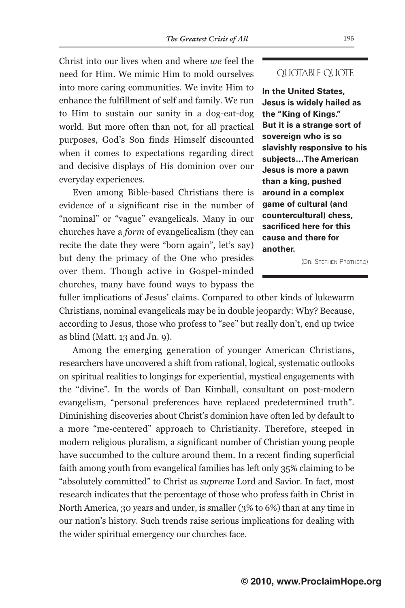Christ into our lives when and where *we* feel the need for Him. We mimic Him to mold ourselves into more caring communities. We invite Him to enhance the fulfillment of self and family. We run to Him to sustain our sanity in a dog-eat-dog world. But more often than not, for all practical purposes, God's Son finds Himself discounted when it comes to expectations regarding direct and decisive displays of His dominion over our everyday experiences.

Even among Bible-based Christians there is evidence of a significant rise in the number of "nominal" or "vague" evangelicals. Many in our churches have a *form* of evangelicalism (they can recite the date they were "born again", let's say) but deny the primacy of the One who presides over them. Though active in Gospel-minded churches, many have found ways to bypass the

## QUOTABLE QUOTE

**In the United States, Jesus is widely hailed as the "King of Kings." But it is a strange sort of sovereign who is so slavishly responsive to his subjects…The American Jesus is more a pawn than a king, pushed around in a complex game of cultural (and countercultural) chess, sacrificed here for this cause and there for another.**

(DR. STEPHEN PROTHERO)

fuller implications of Jesus' claims. Compared to other kinds of lukewarm Christians, nominal evangelicals may be in double jeopardy: Why? Because, according to Jesus, those who profess to "see" but really don't, end up twice as blind (Matt. 13 and Jn. 9).

Among the emerging generation of younger American Christians, researchers have uncovered a shift from rational, logical, systematic outlooks on spiritual realities to longings for experiential, mystical engagements with the "divine". In the words of Dan Kimball, consultant on post-modern evangelism, "personal preferences have replaced predetermined truth". Diminishing discoveries about Christ's dominion have often led by default to a more "me-centered" approach to Christianity. Therefore, steeped in modern religious pluralism, a significant number of Christian young people have succumbed to the culture around them. In a recent finding superficial faith among youth from evangelical families has left only 35% claiming to be "absolutely committed" to Christ as *supreme* Lord and Savior. In fact, most research indicates that the percentage of those who profess faith in Christ in North America, 30 years and under, is smaller (3% to 6%) than at any time in our nation's history. Such trends raise serious implications for dealing with the wider spiritual emergency our churches face.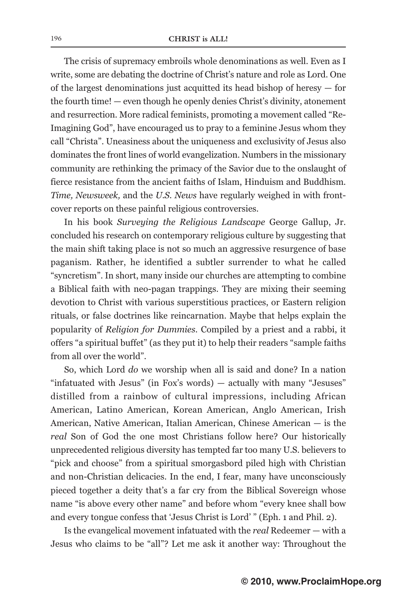The crisis of supremacy embroils whole denominations as well. Even as I write, some are debating the doctrine of Christ's nature and role as Lord. One of the largest denominations just acquitted its head bishop of heresy — for the fourth time! — even though he openly denies Christ's divinity, atonement and resurrection. More radical feminists, promoting a movement called "Re-Imagining God", have encouraged us to pray to a feminine Jesus whom they call "Christa". Uneasiness about the uniqueness and exclusivity of Jesus also dominates the front lines of world evangelization. Numbers in the missionary community are rethinking the primacy of the Savior due to the onslaught of fierce resistance from the ancient faiths of Islam, Hinduism and Buddhism. *Time, Newsweek,* and the *U.S. News* have regularly weighed in with frontcover reports on these painful religious controversies.

In his book *Surveying the Religious Landscape* George Gallup, Jr. concluded his research on contemporary religious culture by suggesting that the main shift taking place is not so much an aggressive resurgence of base paganism. Rather, he identified a subtler surrender to what he called "syncretism". In short, many inside our churches are attempting to combine a Biblical faith with neo-pagan trappings. They are mixing their seeming devotion to Christ with various superstitious practices, or Eastern religion rituals, or false doctrines like reincarnation. Maybe that helps explain the popularity of *Religion for Dummies.* Compiled by a priest and a rabbi, it offers "a spiritual buffet" (as they put it) to help their readers "sample faiths from all over the world".

So, which Lord *do* we worship when all is said and done? In a nation "infatuated with Jesus" (in Fox's words) — actually with many "Jesuses" distilled from a rainbow of cultural impressions, including African American, Latino American, Korean American, Anglo American, Irish American, Native American, Italian American, Chinese American — is the *real* Son of God the one most Christians follow here? Our historically unprecedented religious diversity has tempted far too many U.S. believers to "pick and choose" from a spiritual smorgasbord piled high with Christian and non-Christian delicacies. In the end, I fear, many have unconsciously pieced together a deity that's a far cry from the Biblical Sovereign whose name "is above every other name" and before whom "every knee shall bow and every tongue confess that 'Jesus Christ is Lord' " (Eph. 1 and Phil. 2).

Is the evangelical movement infatuated with the *real* Redeemer — with a Jesus who claims to be "all"? Let me ask it another way: Throughout the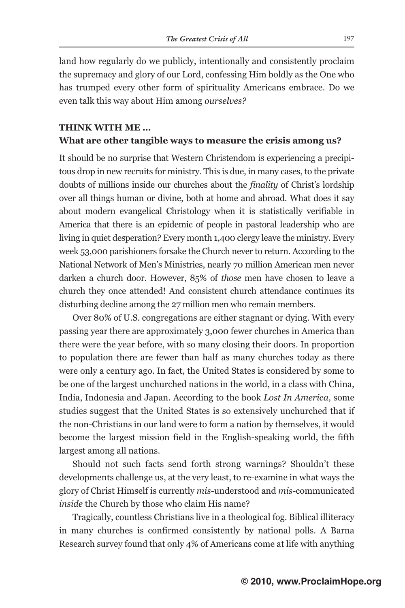land how regularly do we publicly, intentionally and consistently proclaim the supremacy and glory of our Lord, confessing Him boldly as the One who has trumped every other form of spirituality Americans embrace. Do we even talk this way about Him among *ourselves?*

## **THINK WITH ME …**

## **What are other tangible ways to measure the crisis among us?**

It should be no surprise that Western Christendom is experiencing a precipitous drop in new recruits for ministry. This is due, in many cases, to the private doubts of millions inside our churches about the *finality* of Christ's lordship over all things human or divine, both at home and abroad. What does it say about modern evangelical Christology when it is statistically verifiable in America that there is an epidemic of people in pastoral leadership who are living in quiet desperation? Every month 1,400 clergy leave the ministry. Every week 53,000 parishioners forsake the Church never to return. According to the National Network of Men's Ministries, nearly 70 million American men never darken a church door. However, 85% of *those* men have chosen to leave a church they once attended! And consistent church attendance continues its disturbing decline among the 27 million men who remain members.

Over 80% of U.S. congregations are either stagnant or dying. With every passing year there are approximately 3,000 fewer churches in America than there were the year before, with so many closing their doors. In proportion to population there are fewer than half as many churches today as there were only a century ago. In fact, the United States is considered by some to be one of the largest unchurched nations in the world, in a class with China, India, Indonesia and Japan. According to the book *Lost In America,* some studies suggest that the United States is so extensively unchurched that if the non-Christians in our land were to form a nation by themselves, it would become the largest mission field in the English-speaking world, the fifth largest among all nations.

Should not such facts send forth strong warnings? Shouldn't these developments challenge us, at the very least, to re-examine in what ways the glory of Christ Himself is currently *mis*-understood and *mis*-communicated *inside* the Church by those who claim His name?

Tragically, countless Christians live in a theological fog. Biblical illiteracy in many churches is confirmed consistently by national polls. A Barna Research survey found that only 4% of Americans come at life with anything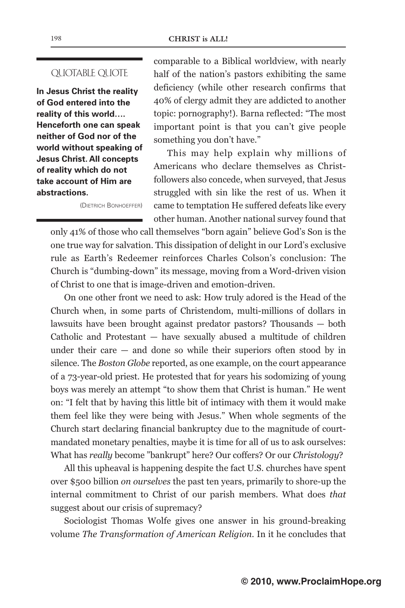#### QUOTABLE QUOTE

**In Jesus Christ the reality of God entered into the reality of this world…. Henceforth one can speak neither of God nor of the world without speaking of Jesus Christ. All concepts of reality which do not take account of Him are abstractions.**

(DIETRICH BONHOEFFER)

comparable to a Biblical worldview, with nearly half of the nation's pastors exhibiting the same deficiency (while other research confirms that 40% of clergy admit they are addicted to another topic: pornography!). Barna reflected: "The most important point is that you can't give people something you don't have."

This may help explain why millions of Americans who declare themselves as Christfollowers also concede, when surveyed, that Jesus struggled with sin like the rest of us. When it came to temptation He suffered defeats like every other human. Another national survey found that

only 41% of those who call themselves "born again" believe God's Son is the one true way for salvation. This dissipation of delight in our Lord's exclusive rule as Earth's Redeemer reinforces Charles Colson's conclusion: The Church is "dumbing-down" its message, moving from a Word-driven vision of Christ to one that is image-driven and emotion-driven.

On one other front we need to ask: How truly adored is the Head of the Church when, in some parts of Christendom, multi-millions of dollars in lawsuits have been brought against predator pastors? Thousands — both Catholic and Protestant — have sexually abused a multitude of children under their care — and done so while their superiors often stood by in silence. The *Boston Globe* reported, as one example, on the court appearance of a 73-year-old priest. He protested that for years his sodomizing of young boys was merely an attempt "to show them that Christ is human." He went on: "I felt that by having this little bit of intimacy with them it would make them feel like they were being with Jesus." When whole segments of the Church start declaring financial bankruptcy due to the magnitude of courtmandated monetary penalties, maybe it is time for all of us to ask ourselves: What has *really* become "bankrupt" here? Our coffers? Or our *Christology*?

All this upheaval is happening despite the fact U.S. churches have spent over \$500 billion *on ourselves* the past ten years, primarily to shore-up the internal commitment to Christ of our parish members. What does *that* suggest about our crisis of supremacy?

Sociologist Thomas Wolfe gives one answer in his ground-breaking volume *The Transformation of American Religion.* In it he concludes that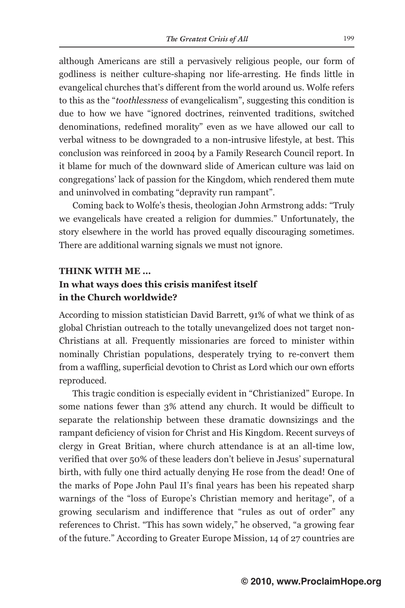although Americans are still a pervasively religious people, our form of godliness is neither culture-shaping nor life-arresting. He finds little in evangelical churches that's different from the world around us. Wolfe refers to this as the "*toothlessness* of evangelicalism", suggesting this condition is due to how we have "ignored doctrines, reinvented traditions, switched denominations, redefined morality" even as we have allowed our call to verbal witness to be downgraded to a non-intrusive lifestyle, at best. This conclusion was reinforced in 2004 by a Family Research Council report. In it blame for much of the downward slide of American culture was laid on congregations' lack of passion for the Kingdom, which rendered them mute and uninvolved in combating "depravity run rampant".

Coming back to Wolfe's thesis, theologian John Armstrong adds: "Truly we evangelicals have created a religion for dummies." Unfortunately, the story elsewhere in the world has proved equally discouraging sometimes. There are additional warning signals we must not ignore.

#### **THINK WITH ME …**

## **In what ways does this crisis manifest itself in the Church worldwide?**

According to mission statistician David Barrett, 91% of what we think of as global Christian outreach to the totally unevangelized does not target non-Christians at all. Frequently missionaries are forced to minister within nominally Christian populations, desperately trying to re-convert them from a waffling, superficial devotion to Christ as Lord which our own efforts reproduced.

This tragic condition is especially evident in "Christianized" Europe. In some nations fewer than 3% attend any church. It would be difficult to separate the relationship between these dramatic downsizings and the rampant deficiency of vision for Christ and His Kingdom. Recent surveys of clergy in Great Britian, where church attendance is at an all-time low, verified that over 50% of these leaders don't believe in Jesus' supernatural birth, with fully one third actually denying He rose from the dead! One of the marks of Pope John Paul II's final years has been his repeated sharp warnings of the "loss of Europe's Christian memory and heritage", of a growing secularism and indifference that "rules as out of order" any references to Christ. "This has sown widely," he observed, "a growing fear of the future." According to Greater Europe Mission, 14 of 27 countries are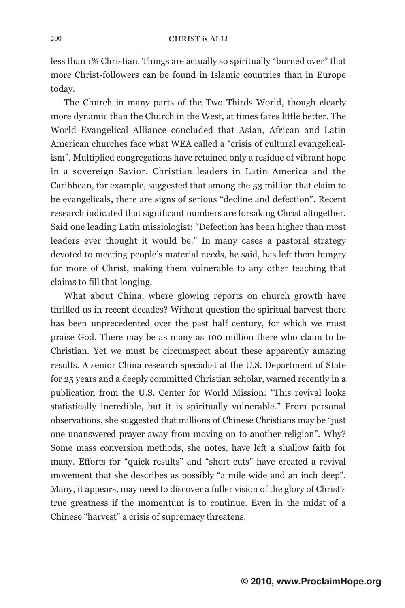less than 1% Christian. Things are actually so spiritually "burned over" that more Christ-followers can be found in Islamic countries than in Europe today.

The Church in many parts of the Two Thirds World, though clearly more dynamic than the Church in the West, at times fares little better. The World Evangelical Alliance concluded that Asian, African and Latin American churches face what WEA called a "crisis of cultural evangelicalism". Multiplied congregations have retained only a residue of vibrant hope in a sovereign Savior. Christian leaders in Latin America and the Caribbean, for example, suggested that among the 53 million that claim to be evangelicals, there are signs of serious "decline and defection". Recent research indicated that significant numbers are forsaking Christ altogether. Said one leading Latin missiologist: "Defection has been higher than most leaders ever thought it would be." In many cases a pastoral strategy devoted to meeting people's material needs, he said, has left them hungry for more of Christ, making them vulnerable to any other teaching that claims to fill that longing.

What about China, where glowing reports on church growth have thrilled us in recent decades? Without question the spiritual harvest there has been unprecedented over the past half century, for which we must praise God. There may be as many as 100 million there who claim to be Christian. Yet we must be circumspect about these apparently amazing results. A senior China research specialist at the U.S. Department of State for 25 years and a deeply committed Christian scholar, warned recently in a publication from the U.S. Center for World Mission: "This revival looks statistically incredible, but it is spiritually vulnerable." From personal observations, she suggested that millions of Chinese Christians may be "just one unanswered prayer away from moving on to another religion". Why? Some mass conversion methods, she notes, have left a shallow faith for many. Efforts for "quick results" and "short cuts" have created a revival movement that she describes as possibly "a mile wide and an inch deep". Many, it appears, may need to discover a fuller vision of the glory of Christ's true greatness if the momentum is to continue. Even in the midst of a Chinese "harvest" a crisis of supremacy threatens.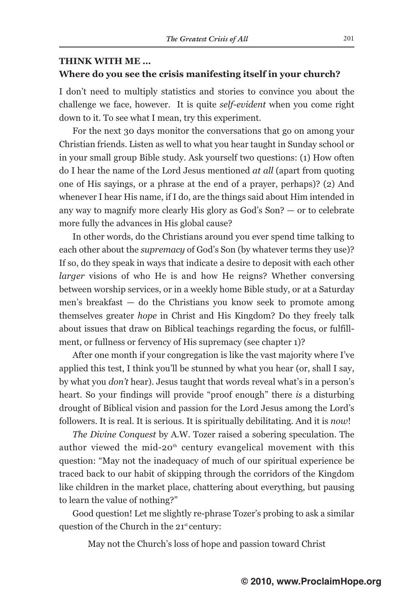#### **THINK WITH ME …**

## **Where do you see the crisis manifesting itself in your church?**

I don't need to multiply statistics and stories to convince you about the challenge we face, however. It is quite *self-evident* when you come right down to it. To see what I mean, try this experiment.

For the next 30 days monitor the conversations that go on among your Christian friends. Listen as well to what you hear taught in Sunday school or in your small group Bible study. Ask yourself two questions: (1) How often do I hear the name of the Lord Jesus mentioned *at all* (apart from quoting one of His sayings, or a phrase at the end of a prayer, perhaps)? (2) And whenever I hear His name, if I do, are the things said about Him intended in any way to magnify more clearly His glory as God's Son? — or to celebrate more fully the advances in His global cause?

In other words, do the Christians around you ever spend time talking to each other about the *supremacy* of God's Son (by whatever terms they use)? If so, do they speak in ways that indicate a desire to deposit with each other *larger* visions of who He is and how He reigns? Whether conversing between worship services, or in a weekly home Bible study, or at a Saturday men's breakfast — do the Christians you know seek to promote among themselves greater *hope* in Christ and His Kingdom? Do they freely talk about issues that draw on Biblical teachings regarding the focus, or fulfillment, or fullness or fervency of His supremacy (see chapter 1)?

After one month if your congregation is like the vast majority where I've applied this test, I think you'll be stunned by what you hear (or, shall I say, by what you *don't* hear). Jesus taught that words reveal what's in a person's heart. So your findings will provide "proof enough" there *is* a disturbing drought of Biblical vision and passion for the Lord Jesus among the Lord's followers. It is real. It is serious. It is spiritually debilitating. And it is *now*!

*The Divine Conquest* by A.W. Tozer raised a sobering speculation. The author viewed the mid-20<sup>th</sup> century evangelical movement with this question: "May not the inadequacy of much of our spiritual experience be traced back to our habit of skipping through the corridors of the Kingdom like children in the market place, chattering about everything, but pausing to learn the value of nothing?"

Good question! Let me slightly re-phrase Tozer's probing to ask a similar question of the Church in the 21<sup>st</sup> century:

May not the Church's loss of hope and passion toward Christ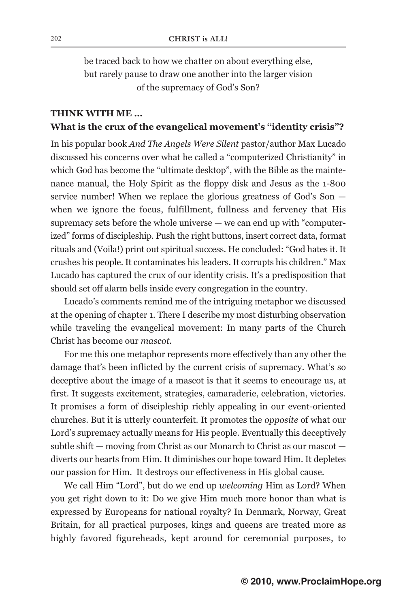be traced back to how we chatter on about everything else, but rarely pause to draw one another into the larger vision of the supremacy of God's Son?

## **THINK WITH ME … What is the crux of the evangelical movement's "identity crisis"?**

In his popular book *And The Angels Were Silent* pastor/author Max Lucado discussed his concerns over what he called a "computerized Christianity" in which God has become the "ultimate desktop", with the Bible as the maintenance manual, the Holy Spirit as the floppy disk and Jesus as the 1-800 service number! When we replace the glorious greatness of God's Son when we ignore the focus, fulfillment, fullness and fervency that His supremacy sets before the whole universe — we can end up with "computerized" forms of discipleship. Push the right buttons, insert correct data, format rituals and (Voila!) print out spiritual success. He concluded: "God hates it. It crushes his people. It contaminates his leaders. It corrupts his children." Max Lucado has captured the crux of our identity crisis. It's a predisposition that should set off alarm bells inside every congregation in the country.

Lucado's comments remind me of the intriguing metaphor we discussed at the opening of chapter 1. There I describe my most disturbing observation while traveling the evangelical movement: In many parts of the Church Christ has become our *mascot.*

For me this one metaphor represents more effectively than any other the damage that's been inflicted by the current crisis of supremacy. What's so deceptive about the image of a mascot is that it seems to encourage us, at first. It suggests excitement, strategies, camaraderie, celebration, victories. It promises a form of discipleship richly appealing in our event-oriented churches. But it is utterly counterfeit. It promotes the *opposite* of what our Lord's supremacy actually means for His people. Eventually this deceptively subtle shift — moving from Christ as our Monarch to Christ as our mascot diverts our hearts from Him. It diminishes our hope toward Him. It depletes our passion for Him. It destroys our effectiveness in His global cause.

We call Him "Lord", but do we end up *welcoming* Him as Lord? When you get right down to it: Do we give Him much more honor than what is expressed by Europeans for national royalty? In Denmark, Norway, Great Britain, for all practical purposes, kings and queens are treated more as highly favored figureheads, kept around for ceremonial purposes, to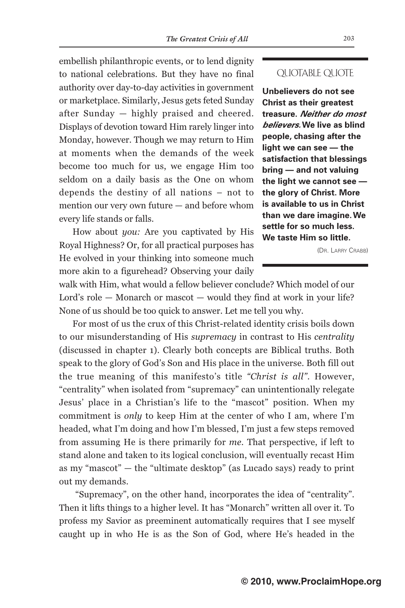embellish philanthropic events, or to lend dignity to national celebrations. But they have no final authority over day-to-day activities in government or marketplace. Similarly, Jesus gets feted Sunday after Sunday — highly praised and cheered. Displays of devotion toward Him rarely linger into Monday, however. Though we may return to Him at moments when the demands of the week become too much for us, we engage Him too seldom on a daily basis as the One on whom depends the destiny of all nations – not to mention our very own future — and before whom every life stands or falls.

How about *you:* Are you captivated by His Royal Highness? Or, for all practical purposes has He evolved in your thinking into someone much more akin to a figurehead? Observing your daily

## QUOTABLE QUOTE

**Unbelievers do not see Christ as their greatest treasure.** *Neither do most believers.***We live as blind people, chasing after the light we can see — the satisfaction that blessings bring — and not valuing the light we cannot see the glory of Christ. More is available to us in Christ than we dare imagine.We settle for so much less. We taste Him so little.**

(DR. LARRY CRABB)

walk with Him, what would a fellow believer conclude? Which model of our Lord's role  $-$  Monarch or mascot  $-$  would they find at work in your life? None of us should be too quick to answer. Let me tell you why.

For most of us the crux of this Christ-related identity crisis boils down to our misunderstanding of His *supremacy* in contrast to His *centrality* (discussed in chapter 1). Clearly both concepts are Biblical truths. Both speak to the glory of God's Son and His place in the universe. Both fill out the true meaning of this manifesto's title *"Christ is all".* However, "centrality" when isolated from "supremacy" can unintentionally relegate Jesus' place in a Christian's life to the "mascot" position. When my commitment is *only* to keep Him at the center of who I am, where I'm headed, what I'm doing and how I'm blessed, I'm just a few steps removed from assuming He is there primarily for *me*. That perspective, if left to stand alone and taken to its logical conclusion, will eventually recast Him as my "mascot" — the "ultimate desktop" (as Lucado says) ready to print out my demands.

"Supremacy", on the other hand, incorporates the idea of "centrality". Then it lifts things to a higher level. It has "Monarch" written all over it. To profess my Savior as preeminent automatically requires that I see myself caught up in who He is as the Son of God, where He's headed in the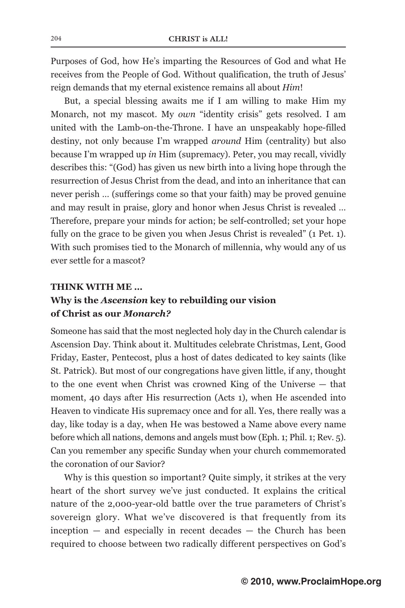Purposes of God, how He's imparting the Resources of God and what He receives from the People of God. Without qualification, the truth of Jesus' reign demands that my eternal existence remains all about *Him*!

But, a special blessing awaits me if I am willing to make Him my Monarch, not my mascot. My *own* "identity crisis" gets resolved. I am united with the Lamb-on-the-Throne. I have an unspeakably hope-filled destiny, not only because I'm wrapped *around* Him (centrality) but also because I'm wrapped up *in* Him (supremacy). Peter, you may recall, vividly describes this: "(God) has given us new birth into a living hope through the resurrection of Jesus Christ from the dead, and into an inheritance that can never perish … (sufferings come so that your faith) may be proved genuine and may result in praise, glory and honor when Jesus Christ is revealed … Therefore, prepare your minds for action; be self-controlled; set your hope fully on the grace to be given you when Jesus Christ is revealed" (1 Pet. 1). With such promises tied to the Monarch of millennia, why would any of us ever settle for a mascot?

#### **THINK WITH ME …**

## **Why is the** *Ascension* **key to rebuilding our vision of Christ as our** *Monarch?*

Someone has said that the most neglected holy day in the Church calendar is Ascension Day. Think about it. Multitudes celebrate Christmas, Lent, Good Friday, Easter, Pentecost, plus a host of dates dedicated to key saints (like St. Patrick). But most of our congregations have given little, if any, thought to the one event when Christ was crowned King of the Universe — that moment, 40 days after His resurrection (Acts 1), when He ascended into Heaven to vindicate His supremacy once and for all. Yes, there really was a day, like today is a day, when He was bestowed a Name above every name before which all nations, demons and angels must bow (Eph. 1; Phil. 1; Rev. 5). Can you remember any specific Sunday when your church commemorated the coronation of our Savior?

Why is this question so important? Quite simply, it strikes at the very heart of the short survey we've just conducted. It explains the critical nature of the 2,000-year-old battle over the true parameters of Christ's sovereign glory. What we've discovered is that frequently from its inception — and especially in recent decades — the Church has been required to choose between two radically different perspectives on God's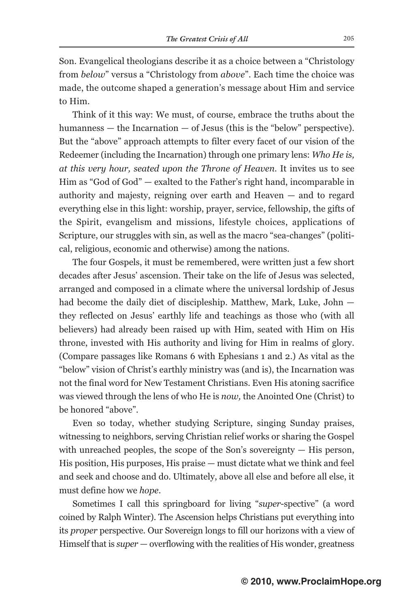Son. Evangelical theologians describe it as a choice between a "Christology from *below*" versus a "Christology from *above*". Each time the choice was made, the outcome shaped a generation's message about Him and service to Him.

Think of it this way: We must, of course, embrace the truths about the humanness — the Incarnation — of Jesus (this is the "below" perspective). But the "above" approach attempts to filter every facet of our vision of the Redeemer (including the Incarnation) through one primary lens: *Who He is, at this very hour, seated upon the Throne of Heaven.* It invites us to see Him as "God of God" — exalted to the Father's right hand, incomparable in authority and majesty, reigning over earth and Heaven — and to regard everything else in this light: worship, prayer, service, fellowship, the gifts of the Spirit, evangelism and missions, lifestyle choices, applications of Scripture, our struggles with sin, as well as the macro "sea-changes" (political, religious, economic and otherwise) among the nations.

The four Gospels, it must be remembered, were written just a few short decades after Jesus' ascension. Their take on the life of Jesus was selected, arranged and composed in a climate where the universal lordship of Jesus had become the daily diet of discipleship. Matthew, Mark, Luke, John they reflected on Jesus' earthly life and teachings as those who (with all believers) had already been raised up with Him, seated with Him on His throne, invested with His authority and living for Him in realms of glory. (Compare passages like Romans 6 with Ephesians 1 and 2.) As vital as the "below" vision of Christ's earthly ministry was (and is), the Incarnation was not the final word for New Testament Christians. Even His atoning sacrifice was viewed through the lens of who He is *now,* the Anointed One (Christ) to be honored "above".

Even so today, whether studying Scripture, singing Sunday praises, witnessing to neighbors, serving Christian relief works or sharing the Gospel with unreached peoples, the scope of the Son's sovereignty  $-$  His person, His position, His purposes, His praise — must dictate what we think and feel and seek and choose and do. Ultimately, above all else and before all else, it must define how we *hope*.

Sometimes I call this springboard for living "*super*-spective" (a word coined by Ralph Winter). The Ascension helps Christians put everything into its *proper* perspective. Our Sovereign longs to fill our horizons with a view of Himself that is *super* — overflowing with the realities of His wonder, greatness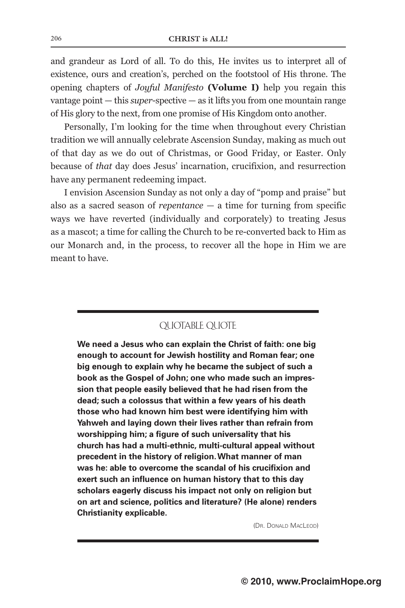and grandeur as Lord of all. To do this, He invites us to interpret all of existence, ours and creation's, perched on the footstool of His throne. The opening chapters of *Joyful Manifesto* **(Volume I)** help you regain this vantage point — this *super-*spective — as it lifts you from one mountain range of His glory to the next, from one promise of His Kingdom onto another.

Personally, I'm looking for the time when throughout every Christian tradition we will annually celebrate Ascension Sunday, making as much out of that day as we do out of Christmas, or Good Friday, or Easter. Only because of *that* day does Jesus' incarnation, crucifixion, and resurrection have any permanent redeeming impact.

I envision Ascension Sunday as not only a day of "pomp and praise" but also as a sacred season of *repentance —* a time for turning from specific ways we have reverted (individually and corporately) to treating Jesus as a mascot; a time for calling the Church to be re-converted back to Him as our Monarch and, in the process, to recover all the hope in Him we are meant to have.

## QUOTABLE QUOTE

**We need a Jesus who can explain the Christ of faith: one big enough to account for Jewish hostility and Roman fear; one big enough to explain why he became the subject of such a book as the Gospel of John; one who made such an impression that people easily believed that he had risen from the dead; such a colossus that within a few years of his death those who had known him best were identifying him with Yahweh and laying down their lives rather than refrain from worshipping him; a figure of such universality that his church has had a multi-ethnic, multi-cultural appeal without precedent in the history of religion.What manner of man was he: able to overcome the scandal of his crucifixion and exert such an influence on human history that to this day scholars eagerly discuss his impact not only on religion but on art and science, politics and literature? (He alone) renders Christianity explicable.**

(DR. DONALD MACLEOD)